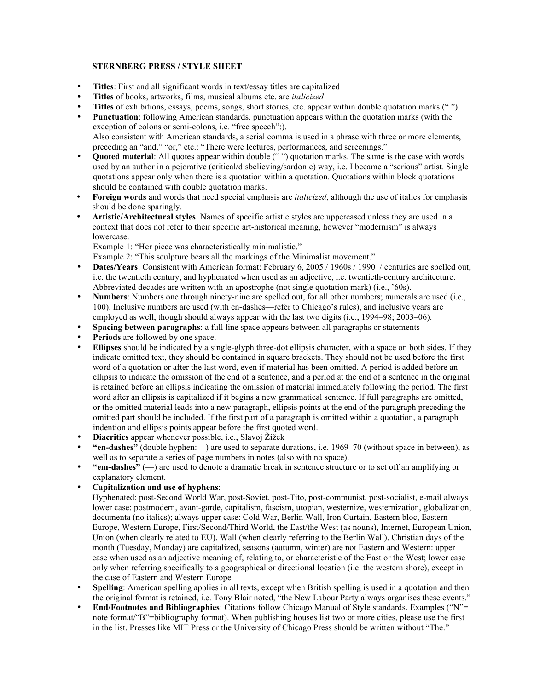# **STERNBERG PRESS / STYLE SHEET**

- **Titles**: First and all significant words in text/essay titles are capitalized
- **Titles** of books, artworks, films, musical albums etc. are *italicized*
- **Titles** of exhibitions, essays, poems, songs, short stories, etc. appear within double quotation marks ("")
- **Punctuation**: following American standards, punctuation appears within the quotation marks (with the exception of colons or semi-colons, i.e. "free speech":). Also consistent with American standards, a serial comma is used in a phrase with three or more elements, preceding an "and," "or," etc.: "There were lectures, performances, and screenings."
- **Quoted material**: All quotes appear within double (" ") quotation marks. The same is the case with words used by an author in a pejorative (critical/disbelieving/sardonic) way, i.e. I became a "serious" artist. Single quotations appear only when there is a quotation within a quotation. Quotations within block quotations should be contained with double quotation marks.
- **Foreign words** and words that need special emphasis are *italicized*, although the use of italics for emphasis should be done sparingly.
- **Artistic/Architectural styles**: Names of specific artistic styles are uppercased unless they are used in a context that does not refer to their specific art-historical meaning, however "modernism" is always lowercase.

Example 1: "Her piece was characteristically minimalistic."

Example 2: "This sculpture bears all the markings of the Minimalist movement."

- **Dates/Years:** Consistent with American format: February 6, 2005 / 1960s / 1990 / centuries are spelled out, i.e. the twentieth century, and hyphenated when used as an adjective, i.e. twentieth-century architecture. Abbreviated decades are written with an apostrophe (not single quotation mark) (i.e., '60s).
- **Numbers**: Numbers one through ninety-nine are spelled out, for all other numbers; numerals are used (i.e., 100). Inclusive numbers are used (with en-dashes—refer to Chicago's rules), and inclusive years are employed as well, though should always appear with the last two digits (i.e., 1994–98; 2003–06).
- **Spacing between paragraphs**: a full line space appears between all paragraphs or statements
- Periods are followed by one space.
- **Ellipses** should be indicated by a single-glyph three-dot ellipsis character, with a space on both sides. If they indicate omitted text, they should be contained in square brackets. They should not be used before the first word of a quotation or after the last word, even if material has been omitted. A period is added before an ellipsis to indicate the omission of the end of a sentence, and a period at the end of a sentence in the original is retained before an ellipsis indicating the omission of material immediately following the period. The first word after an ellipsis is capitalized if it begins a new grammatical sentence. If full paragraphs are omitted, or the omitted material leads into a new paragraph, ellipsis points at the end of the paragraph preceding the omitted part should be included. If the first part of a paragraph is omitted within a quotation, a paragraph indention and ellipsis points appear before the first quoted word.
- **Diacritics** appear whenever possible, i.e., Slavoj Žižek
- **"en-dashes"** (double hyphen: ) are used to separate durations, i.e. 1969–70 (without space in between), as well as to separate a series of page numbers in notes (also with no space).
- **"em-dashes"** (—) are used to denote a dramatic break in sentence structure or to set off an amplifying or explanatory element.
- **Capitalization and use of hyphens**:

Hyphenated: post-Second World War, post-Soviet, post-Tito, post-communist, post-socialist, e-mail always lower case: postmodern, avant-garde, capitalism, fascism, utopian, westernize, westernization, globalization, documenta (no italics); always upper case: Cold War, Berlin Wall, Iron Curtain, Eastern bloc, Eastern Europe, Western Europe, First/Second/Third World, the East/the West (as nouns), Internet, European Union, Union (when clearly related to EU), Wall (when clearly referring to the Berlin Wall), Christian days of the month (Tuesday, Monday) are capitalized, seasons (autumn, winter) are not Eastern and Western: upper case when used as an adjective meaning of, relating to, or characteristic of the East or the West; lower case only when referring specifically to a geographical or directional location (i.e. the western shore), except in the case of Eastern and Western Europe

- **Spelling**: American spelling applies in all texts, except when British spelling is used in a quotation and then the original format is retained, i.e. Tony Blair noted, "the New Labour Party always organises these events."
- **End/Footnotes and Bibliographies**: Citations follow Chicago Manual of Style standards. Examples ("N"= note format/"B"=bibliography format). When publishing houses list two or more cities, please use the first in the list. Presses like MIT Press or the University of Chicago Press should be written without "The."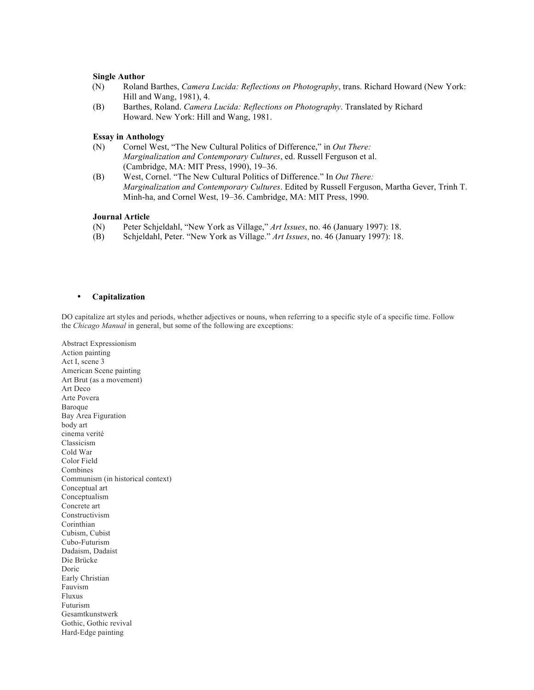## **Single Author**

- (N) Roland Barthes, *Camera Lucida: Reflections on Photography*, trans. Richard Howard (New York: Hill and Wang, 1981), 4.
- (B) Barthes, Roland. *Camera Lucida: Reflections on Photography*. Translated by Richard Howard. New York: Hill and Wang, 1981.

## **Essay in Anthology**

- (N) Cornel West, "The New Cultural Politics of Difference," in *Out There: Marginalization and Contemporary Cultures*, ed. Russell Ferguson et al. (Cambridge, MA: MIT Press, 1990), 19–36.
- (B) West, Cornel. "The New Cultural Politics of Difference." In *Out There: Marginalization and Contemporary Cultures*. Edited by Russell Ferguson, Martha Gever, Trinh T. Minh-ha, and Cornel West, 19–36. Cambridge, MA: MIT Press, 1990.

# **Journal Article**

- (N) Peter Schjeldahl, "New York as Village," *Art Issues*, no. 46 (January 1997): 18.
- (B) Schjeldahl, Peter. "New York as Village." *Art Issues*, no. 46 (January 1997): 18.

## • **Capitalization**

DO capitalize art styles and periods, whether adjectives or nouns, when referring to a specific style of a specific time. Follow the *Chicago Manual* in general, but some of the following are exceptions:

Abstract Expressionism Action painting Act I, scene 3 American Scene painting Art Brut (as a movement) Art Deco Arte Povera Baroque Bay Area Figuration body art cinema verité Classicism Cold War Color Field Combines Communism (in historical context) Conceptual art Conceptualism Concrete art Constructivism Corinthian Cubism, Cubist Cubo-Futurism Dadaism, Dadaist Die Brücke Doric Early Christian Fauvism Fluxus Futurism Gesamtkunstwerk Gothic, Gothic revival Hard-Edge painting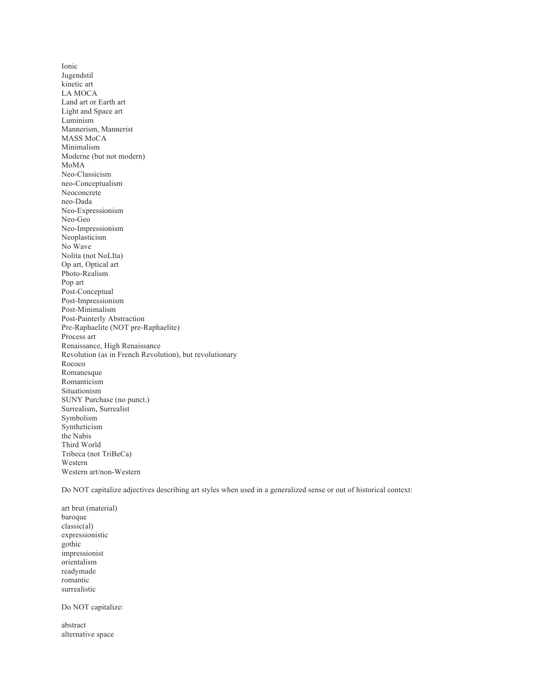Ionic Jugendstil kinetic art LA MOCA Land art or Earth art Light and Space art Luminism Mannerism, Mannerist MASS MoCA Minimalism Moderne (but not modern) MoMA Neo-Classicism neo-Conceptualism Neoconcrete neo-Dada Neo-Expressionism Neo-Geo Neo-Impressionism Neoplasticism No Wave Nolita (not NoLIta) Op art, Optical art Photo-Realism Pop art Post-Conceptual Post-Impressionism Post-Minimalism Post-Painterly Abstraction Pre-Raphaelite (NOT pre-Raphaelite) Process art Renaissance, High Renaissance Revolution (as in French Revolution), but revolutionary Rococo Romanesque Romanticism Situationism SUNY Purchase (no punct.) Surrealism, Surrealist Symbolism Syntheticism the Nabis Third World Tribeca (not TriBeCa) Western Western art/non-Western

Do NOT capitalize adjectives describing art styles when used in a generalized sense or out of historical context:

art brut (material) baroque classic(al) expressionistic gothic impressionist orientalism readymade romantic surrealistic

Do NOT capitalize:

abstract alternative space